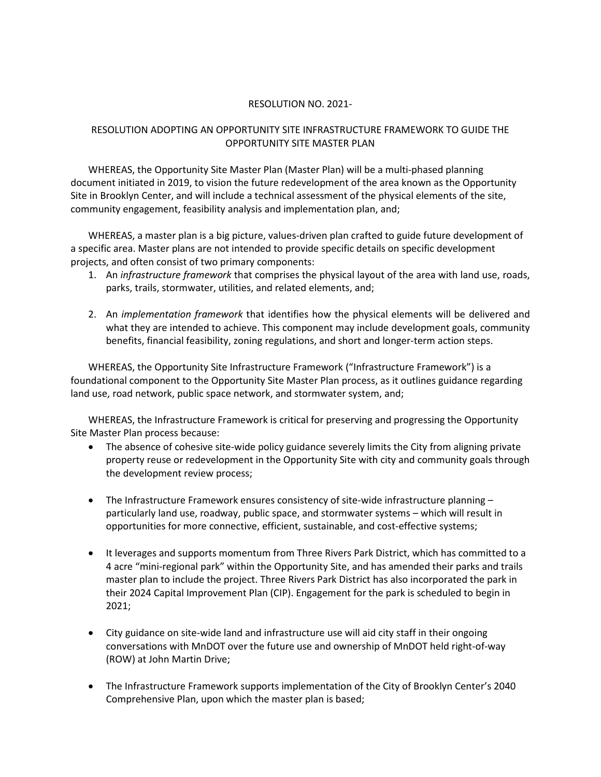## RESOLUTION NO. 2021-

## RESOLUTION ADOPTING AN OPPORTUNITY SITE INFRASTRUCTURE FRAMEWORK TO GUIDE THE OPPORTUNITY SITE MASTER PLAN

WHEREAS, the Opportunity Site Master Plan (Master Plan) will be a multi-phased planning document initiated in 2019, to vision the future redevelopment of the area known as the Opportunity Site in Brooklyn Center, and will include a technical assessment of the physical elements of the site, community engagement, feasibility analysis and implementation plan, and;

WHEREAS, a master plan is a big picture, values-driven plan crafted to guide future development of a specific area. Master plans are not intended to provide specific details on specific development projects, and often consist of two primary components:

- 1. An *infrastructure framework* that comprises the physical layout of the area with land use, roads, parks, trails, stormwater, utilities, and related elements, and;
- 2. An *implementation framework* that identifies how the physical elements will be delivered and what they are intended to achieve. This component may include development goals, community benefits, financial feasibility, zoning regulations, and short and longer-term action steps.

WHEREAS, the Opportunity Site Infrastructure Framework ("Infrastructure Framework") is a foundational component to the Opportunity Site Master Plan process, as it outlines guidance regarding land use, road network, public space network, and stormwater system, and;

WHEREAS, the Infrastructure Framework is critical for preserving and progressing the Opportunity Site Master Plan process because:

- The absence of cohesive site-wide policy guidance severely limits the City from aligning private property reuse or redevelopment in the Opportunity Site with city and community goals through the development review process;
- The Infrastructure Framework ensures consistency of site-wide infrastructure planning particularly land use, roadway, public space, and stormwater systems – which will result in opportunities for more connective, efficient, sustainable, and cost-effective systems;
- It leverages and supports momentum from Three Rivers Park District, which has committed to a 4 acre "mini-regional park" within the Opportunity Site, and has amended their parks and trails master plan to include the project. Three Rivers Park District has also incorporated the park in their 2024 Capital Improvement Plan (CIP). Engagement for the park is scheduled to begin in 2021;
- City guidance on site-wide land and infrastructure use will aid city staff in their ongoing conversations with MnDOT over the future use and ownership of MnDOT held right-of-way (ROW) at John Martin Drive;
- The Infrastructure Framework supports implementation of the City of Brooklyn Center's 2040 Comprehensive Plan, upon which the master plan is based;